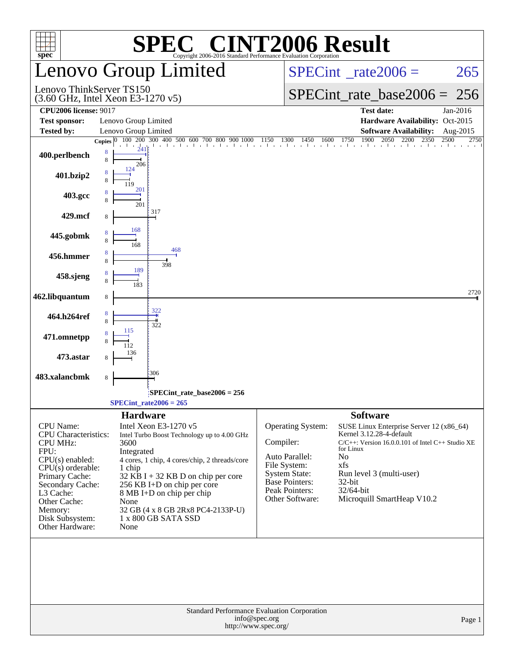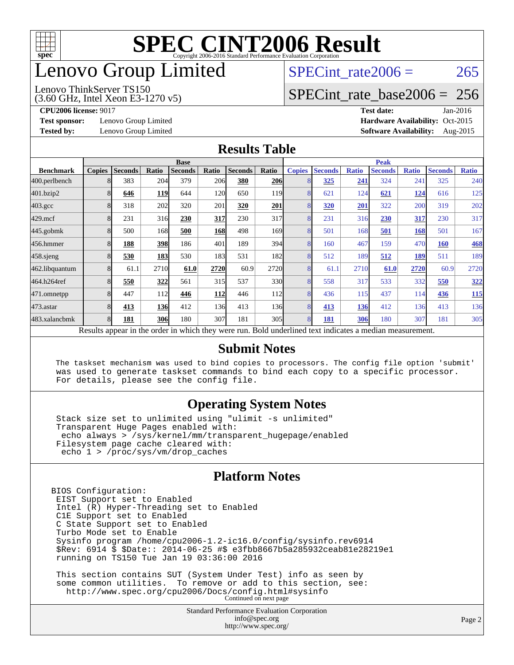

## enovo Group Limited

#### Lenovo ThinkServer TS150

SPECint rate $2006 = 265$ 

### [SPECint\\_rate\\_base2006 =](http://www.spec.org/auto/cpu2006/Docs/result-fields.html#SPECintratebase2006) 256

(3.60 GHz, Intel Xeon E3-1270 v5)

**[CPU2006 license:](http://www.spec.org/auto/cpu2006/Docs/result-fields.html#CPU2006license)** 9017 **[Test date:](http://www.spec.org/auto/cpu2006/Docs/result-fields.html#Testdate)** Jan-2016 **[Test sponsor:](http://www.spec.org/auto/cpu2006/Docs/result-fields.html#Testsponsor)** Lenovo Group Limited **[Hardware Availability:](http://www.spec.org/auto/cpu2006/Docs/result-fields.html#HardwareAvailability)** Oct-2015 **[Tested by:](http://www.spec.org/auto/cpu2006/Docs/result-fields.html#Testedby)** Lenovo Group Limited **[Software Availability:](http://www.spec.org/auto/cpu2006/Docs/result-fields.html#SoftwareAvailability)** Aug-2015

### **[Results Table](http://www.spec.org/auto/cpu2006/Docs/result-fields.html#ResultsTable)**

|                    | <b>Base</b>   |                |       |                                                                                                        |       |                |                  | <b>Peak</b>   |                |              |                |              |                |              |
|--------------------|---------------|----------------|-------|--------------------------------------------------------------------------------------------------------|-------|----------------|------------------|---------------|----------------|--------------|----------------|--------------|----------------|--------------|
| <b>Benchmark</b>   | <b>Copies</b> | <b>Seconds</b> | Ratio | <b>Seconds</b>                                                                                         | Ratio | <b>Seconds</b> | Ratio            | <b>Copies</b> | <b>Seconds</b> | <b>Ratio</b> | <b>Seconds</b> | <b>Ratio</b> | <b>Seconds</b> | <b>Ratio</b> |
| 400.perlbench      |               | 383            | 204   | 379                                                                                                    | 206   | 380            | 206              | 8             | 325            | 241          | 324            | 241          | 325            | 240          |
| 401.bzip2          | 8             | 646            | 119   | 644                                                                                                    | 120   | 650            | 119 <sub>1</sub> | 8             | 621            | 124          | 621            | 124          | 616            | 125          |
| $403.\mathrm{gcc}$ | 8             | 318            | 202   | 320                                                                                                    | 201   | 320            | 201              | 8             | 320            | 201          | 322            | 200          | 319            | 202          |
| $429$ .mcf         | 8             | 231            | 316   | 230                                                                                                    | 317   | 230            | 317              | 8             | 231            | 316          | 230            | 317          | 230            | 317          |
| $445$ .gobm $k$    | 8             | 500            | 168   | 500                                                                                                    | 168   | 498            | 169              | 8             | 501            | 168          | 501            | 168          | 501            | 167          |
| 456.hmmer          | 8             | 188            | 398   | 186                                                                                                    | 401   | 189            | 394              | 8             | 160            | 467          | 159            | 470          | <b>160</b>     | <b>468</b>   |
| $458$ .sjeng       | 8             | 530            | 183   | 530                                                                                                    | 183   | 531            | 182l             | 8             | 512            | 189          | 512            | 189          | 511            | 189          |
| 462.libquantum     | 8             | 61.1           | 2710  | 61.0                                                                                                   | 2720  | 60.9           | 2720             | 8             | 61.1           | 2710         | 61.0           | 2720         | 60.9           | 2720         |
| 464.h264ref        |               | 550            | 322   | 561                                                                                                    | 315   | 537            | 330l             | 8             | 558            | 317          | 533            | 332          | 550            | 322          |
| 471.omnetpp        | 8             | 447            | 112   | 446                                                                                                    | 112   | 446            | <b>112</b>       | 8             | 436            | 115          | 437            | 114          | 436            | <b>115</b>   |
| $473$ . astar      | 8             | 413            | 136   | 412                                                                                                    | 136   | 413            | 136I             | 8             | 413            | 136          | 412            | 136          | 413            | 136          |
| 483.xalancbmk      | 8             | 181            | 306   | 180                                                                                                    | 307   | 181            | 305 <sup>I</sup> | 8             | 181            | 306          | 180            | 307          | 181            | 305          |
|                    |               |                |       | Decute ennear in the order in which they were run. Pold underlined text indicates a median measurement |       |                |                  |               |                |              |                |              |                |              |

Results appear in the [order in which they were run.](http://www.spec.org/auto/cpu2006/Docs/result-fields.html#RunOrder) Bold underlined text [indicates a median measurement.](http://www.spec.org/auto/cpu2006/Docs/result-fields.html#Median)

### **[Submit Notes](http://www.spec.org/auto/cpu2006/Docs/result-fields.html#SubmitNotes)**

 The taskset mechanism was used to bind copies to processors. The config file option 'submit' was used to generate taskset commands to bind each copy to a specific processor. For details, please see the config file.

### **[Operating System Notes](http://www.spec.org/auto/cpu2006/Docs/result-fields.html#OperatingSystemNotes)**

 Stack size set to unlimited using "ulimit -s unlimited" Transparent Huge Pages enabled with: echo always > /sys/kernel/mm/transparent\_hugepage/enabled Filesystem page cache cleared with: echo 1 > /proc/sys/vm/drop\_caches

### **[Platform Notes](http://www.spec.org/auto/cpu2006/Docs/result-fields.html#PlatformNotes)**

BIOS Configuration: EIST Support set to Enabled Intel (R) Hyper-Threading set to Enabled C1E Support set to Enabled C State Support set to Enabled Turbo Mode set to Enable Sysinfo program /home/cpu2006-1.2-ic16.0/config/sysinfo.rev6914 \$Rev: 6914 \$ \$Date:: 2014-06-25 #\$ e3fbb8667b5a285932ceab81e28219e1 running on TS150 Tue Jan 19 03:36:00 2016 This section contains SUT (System Under Test) info as seen by some common utilities. To remove or add to this section, see:

<http://www.spec.org/cpu2006/Docs/config.html#sysinfo> Continued on next page

Standard Performance Evaluation Corporation [info@spec.org](mailto:info@spec.org) <http://www.spec.org/>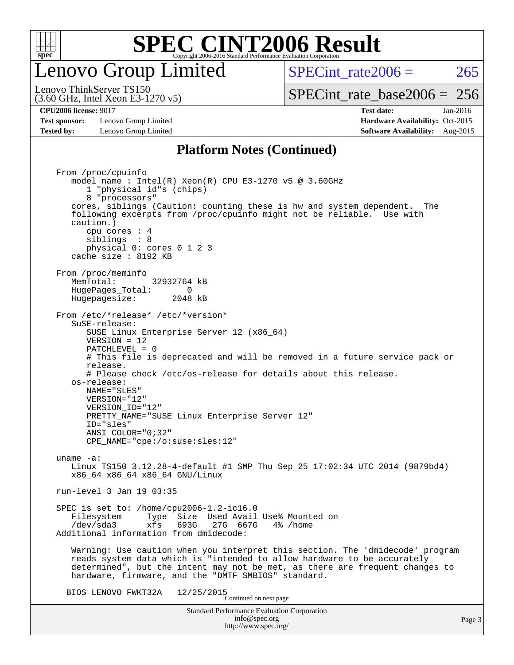

## enovo Group Limited

SPECint rate $2006 = 265$ 

(3.60 GHz, Intel Xeon E3-1270 v5) Lenovo ThinkServer TS150

**[Test sponsor:](http://www.spec.org/auto/cpu2006/Docs/result-fields.html#Testsponsor)** Lenovo Group Limited **[Hardware Availability:](http://www.spec.org/auto/cpu2006/Docs/result-fields.html#HardwareAvailability)** Oct-2015 **[Tested by:](http://www.spec.org/auto/cpu2006/Docs/result-fields.html#Testedby)** Lenovo Group Limited **[Software Availability:](http://www.spec.org/auto/cpu2006/Docs/result-fields.html#SoftwareAvailability)** Aug-2015

[SPECint\\_rate\\_base2006 =](http://www.spec.org/auto/cpu2006/Docs/result-fields.html#SPECintratebase2006) 256 **[CPU2006 license:](http://www.spec.org/auto/cpu2006/Docs/result-fields.html#CPU2006license)** 9017 **[Test date:](http://www.spec.org/auto/cpu2006/Docs/result-fields.html#Testdate)** Jan-2016

## **[Platform Notes \(Continued\)](http://www.spec.org/auto/cpu2006/Docs/result-fields.html#PlatformNotes)**

Standard Performance Evaluation Corporation [info@spec.org](mailto:info@spec.org) <http://www.spec.org/> From /proc/cpuinfo model name : Intel(R) Xeon(R) CPU E3-1270 v5 @ 3.60GHz 1 "physical id"s (chips) 8 "processors" cores, siblings (Caution: counting these is hw and system dependent. The following excerpts from /proc/cpuinfo might not be reliable. Use with caution.) cpu cores : 4 siblings : 8 physical 0: cores 0 1 2 3 cache size : 8192 KB From /proc/meminfo MemTotal: 32932764 kB HugePages\_Total: 0<br>Hugepagesize: 2048 kB Hugepagesize: From /etc/\*release\* /etc/\*version\* SuSE-release: SUSE Linux Enterprise Server 12 (x86\_64) VERSION = 12 PATCHLEVEL = 0 # This file is deprecated and will be removed in a future service pack or release. # Please check /etc/os-release for details about this release. os-release: NAME="SLES" VERSION="12" VERSION\_ID="12" PRETTY\_NAME="SUSE Linux Enterprise Server 12" ID="sles" ANSI\_COLOR="0;32" CPE\_NAME="cpe:/o:suse:sles:12" uname -a: Linux TS150 3.12.28-4-default #1 SMP Thu Sep 25 17:02:34 UTC 2014 (9879bd4) x86\_64 x86\_64 x86\_64 GNU/Linux run-level 3 Jan 19 03:35 SPEC is set to: /home/cpu2006-1.2-ic16.0 Filesystem Type Size Used Avail Use% Mounted on<br>
/dev/sda3 xfs 693G 27G 667G 4% /home 27G 667G Additional information from dmidecode: Warning: Use caution when you interpret this section. The 'dmidecode' program reads system data which is "intended to allow hardware to be accurately determined", but the intent may not be met, as there are frequent changes to hardware, firmware, and the "DMTF SMBIOS" standard. BIOS LENOVO FWKT32A  $12/25/2015$ <br>Continued on next page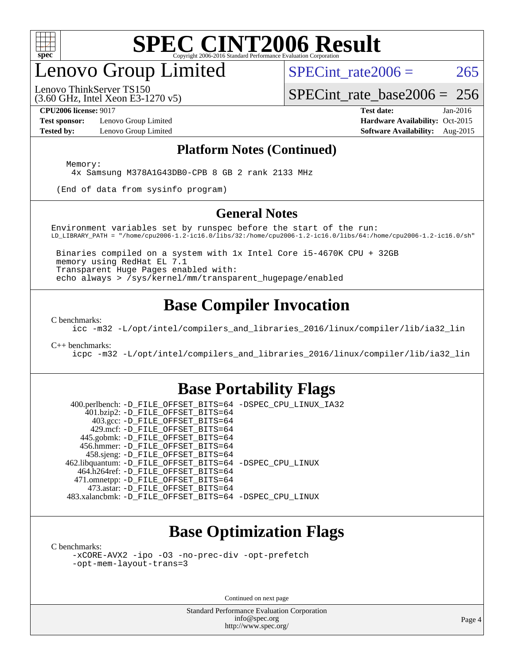

## enovo Group Limited

SPECint rate $2006 = 265$ 

(3.60 GHz, Intel Xeon E3-1270 v5) Lenovo ThinkServer TS150

[SPECint\\_rate\\_base2006 =](http://www.spec.org/auto/cpu2006/Docs/result-fields.html#SPECintratebase2006) 256

**[Test sponsor:](http://www.spec.org/auto/cpu2006/Docs/result-fields.html#Testsponsor)** Lenovo Group Limited **[Hardware Availability:](http://www.spec.org/auto/cpu2006/Docs/result-fields.html#HardwareAvailability)** Oct-2015

**[CPU2006 license:](http://www.spec.org/auto/cpu2006/Docs/result-fields.html#CPU2006license)** 9017 **[Test date:](http://www.spec.org/auto/cpu2006/Docs/result-fields.html#Testdate)** Jan-2016 **[Tested by:](http://www.spec.org/auto/cpu2006/Docs/result-fields.html#Testedby)** Lenovo Group Limited **[Software Availability:](http://www.spec.org/auto/cpu2006/Docs/result-fields.html#SoftwareAvailability)** Aug-2015

### **[Platform Notes \(Continued\)](http://www.spec.org/auto/cpu2006/Docs/result-fields.html#PlatformNotes)**

Memory:

4x Samsung M378A1G43DB0-CPB 8 GB 2 rank 2133 MHz

(End of data from sysinfo program)

### **[General Notes](http://www.spec.org/auto/cpu2006/Docs/result-fields.html#GeneralNotes)**

Environment variables set by runspec before the start of the run: LD\_LIBRARY\_PATH = "/home/cpu2006-1.2-ic16.0/libs/32:/home/cpu2006-1.2-ic16.0/libs/64:/home/cpu2006-1.2-ic16.0/sh"

 Binaries compiled on a system with 1x Intel Core i5-4670K CPU + 32GB memory using RedHat EL 7.1 Transparent Huge Pages enabled with: echo always > /sys/kernel/mm/transparent\_hugepage/enabled

### **[Base Compiler Invocation](http://www.spec.org/auto/cpu2006/Docs/result-fields.html#BaseCompilerInvocation)**

[C benchmarks](http://www.spec.org/auto/cpu2006/Docs/result-fields.html#Cbenchmarks):

[icc -m32 -L/opt/intel/compilers\\_and\\_libraries\\_2016/linux/compiler/lib/ia32\\_lin](http://www.spec.org/cpu2006/results/res2016q1/cpu2006-20160125-38848.flags.html#user_CCbase_intel_icc_e10256ba5924b668798078a321b0cb3f)

#### [C++ benchmarks:](http://www.spec.org/auto/cpu2006/Docs/result-fields.html#CXXbenchmarks)

[icpc -m32 -L/opt/intel/compilers\\_and\\_libraries\\_2016/linux/compiler/lib/ia32\\_lin](http://www.spec.org/cpu2006/results/res2016q1/cpu2006-20160125-38848.flags.html#user_CXXbase_intel_icpc_b4f50a394bdb4597aa5879c16bc3f5c5)

### **[Base Portability Flags](http://www.spec.org/auto/cpu2006/Docs/result-fields.html#BasePortabilityFlags)**

 400.perlbench: [-D\\_FILE\\_OFFSET\\_BITS=64](http://www.spec.org/cpu2006/results/res2016q1/cpu2006-20160125-38848.flags.html#user_basePORTABILITY400_perlbench_file_offset_bits_64_438cf9856305ebd76870a2c6dc2689ab) [-DSPEC\\_CPU\\_LINUX\\_IA32](http://www.spec.org/cpu2006/results/res2016q1/cpu2006-20160125-38848.flags.html#b400.perlbench_baseCPORTABILITY_DSPEC_CPU_LINUX_IA32) 401.bzip2: [-D\\_FILE\\_OFFSET\\_BITS=64](http://www.spec.org/cpu2006/results/res2016q1/cpu2006-20160125-38848.flags.html#user_basePORTABILITY401_bzip2_file_offset_bits_64_438cf9856305ebd76870a2c6dc2689ab) 403.gcc: [-D\\_FILE\\_OFFSET\\_BITS=64](http://www.spec.org/cpu2006/results/res2016q1/cpu2006-20160125-38848.flags.html#user_basePORTABILITY403_gcc_file_offset_bits_64_438cf9856305ebd76870a2c6dc2689ab) 429.mcf: [-D\\_FILE\\_OFFSET\\_BITS=64](http://www.spec.org/cpu2006/results/res2016q1/cpu2006-20160125-38848.flags.html#user_basePORTABILITY429_mcf_file_offset_bits_64_438cf9856305ebd76870a2c6dc2689ab) 445.gobmk: [-D\\_FILE\\_OFFSET\\_BITS=64](http://www.spec.org/cpu2006/results/res2016q1/cpu2006-20160125-38848.flags.html#user_basePORTABILITY445_gobmk_file_offset_bits_64_438cf9856305ebd76870a2c6dc2689ab) 456.hmmer: [-D\\_FILE\\_OFFSET\\_BITS=64](http://www.spec.org/cpu2006/results/res2016q1/cpu2006-20160125-38848.flags.html#user_basePORTABILITY456_hmmer_file_offset_bits_64_438cf9856305ebd76870a2c6dc2689ab) 458.sjeng: [-D\\_FILE\\_OFFSET\\_BITS=64](http://www.spec.org/cpu2006/results/res2016q1/cpu2006-20160125-38848.flags.html#user_basePORTABILITY458_sjeng_file_offset_bits_64_438cf9856305ebd76870a2c6dc2689ab) 462.libquantum: [-D\\_FILE\\_OFFSET\\_BITS=64](http://www.spec.org/cpu2006/results/res2016q1/cpu2006-20160125-38848.flags.html#user_basePORTABILITY462_libquantum_file_offset_bits_64_438cf9856305ebd76870a2c6dc2689ab) [-DSPEC\\_CPU\\_LINUX](http://www.spec.org/cpu2006/results/res2016q1/cpu2006-20160125-38848.flags.html#b462.libquantum_baseCPORTABILITY_DSPEC_CPU_LINUX) 464.h264ref: [-D\\_FILE\\_OFFSET\\_BITS=64](http://www.spec.org/cpu2006/results/res2016q1/cpu2006-20160125-38848.flags.html#user_basePORTABILITY464_h264ref_file_offset_bits_64_438cf9856305ebd76870a2c6dc2689ab) 471.omnetpp: [-D\\_FILE\\_OFFSET\\_BITS=64](http://www.spec.org/cpu2006/results/res2016q1/cpu2006-20160125-38848.flags.html#user_basePORTABILITY471_omnetpp_file_offset_bits_64_438cf9856305ebd76870a2c6dc2689ab) 473.astar: [-D\\_FILE\\_OFFSET\\_BITS=64](http://www.spec.org/cpu2006/results/res2016q1/cpu2006-20160125-38848.flags.html#user_basePORTABILITY473_astar_file_offset_bits_64_438cf9856305ebd76870a2c6dc2689ab) 483.xalancbmk: [-D\\_FILE\\_OFFSET\\_BITS=64](http://www.spec.org/cpu2006/results/res2016q1/cpu2006-20160125-38848.flags.html#user_basePORTABILITY483_xalancbmk_file_offset_bits_64_438cf9856305ebd76870a2c6dc2689ab) [-DSPEC\\_CPU\\_LINUX](http://www.spec.org/cpu2006/results/res2016q1/cpu2006-20160125-38848.flags.html#b483.xalancbmk_baseCXXPORTABILITY_DSPEC_CPU_LINUX)

### **[Base Optimization Flags](http://www.spec.org/auto/cpu2006/Docs/result-fields.html#BaseOptimizationFlags)**

[C benchmarks](http://www.spec.org/auto/cpu2006/Docs/result-fields.html#Cbenchmarks):

[-xCORE-AVX2](http://www.spec.org/cpu2006/results/res2016q1/cpu2006-20160125-38848.flags.html#user_CCbase_f-xAVX2_5f5fc0cbe2c9f62c816d3e45806c70d7) [-ipo](http://www.spec.org/cpu2006/results/res2016q1/cpu2006-20160125-38848.flags.html#user_CCbase_f-ipo) [-O3](http://www.spec.org/cpu2006/results/res2016q1/cpu2006-20160125-38848.flags.html#user_CCbase_f-O3) [-no-prec-div](http://www.spec.org/cpu2006/results/res2016q1/cpu2006-20160125-38848.flags.html#user_CCbase_f-no-prec-div) [-opt-prefetch](http://www.spec.org/cpu2006/results/res2016q1/cpu2006-20160125-38848.flags.html#user_CCbase_f-opt-prefetch) [-opt-mem-layout-trans=3](http://www.spec.org/cpu2006/results/res2016q1/cpu2006-20160125-38848.flags.html#user_CCbase_f-opt-mem-layout-trans_a7b82ad4bd7abf52556d4961a2ae94d5)

Continued on next page

Standard Performance Evaluation Corporation [info@spec.org](mailto:info@spec.org) <http://www.spec.org/>

Page 4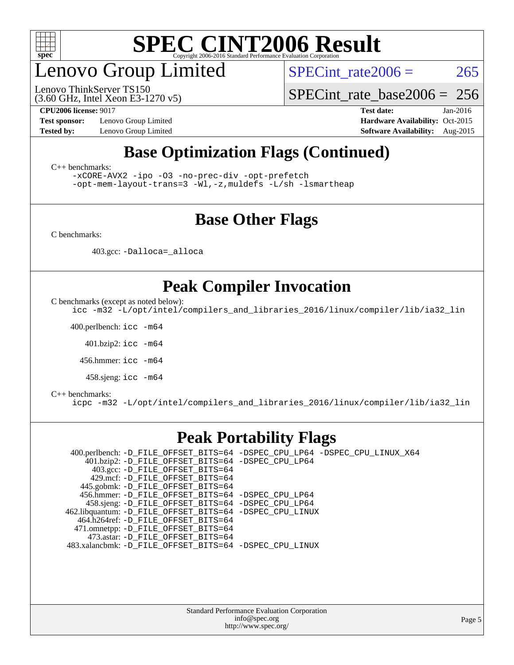

## enovo Group Limited

(3.60 GHz, Intel Xeon E3-1270 v5) Lenovo ThinkServer TS150

SPECint rate $2006 = 265$ 

[SPECint\\_rate\\_base2006 =](http://www.spec.org/auto/cpu2006/Docs/result-fields.html#SPECintratebase2006) 256

**[Test sponsor:](http://www.spec.org/auto/cpu2006/Docs/result-fields.html#Testsponsor)** Lenovo Group Limited **[Hardware Availability:](http://www.spec.org/auto/cpu2006/Docs/result-fields.html#HardwareAvailability)** Oct-2015

**[CPU2006 license:](http://www.spec.org/auto/cpu2006/Docs/result-fields.html#CPU2006license)** 9017 **[Test date:](http://www.spec.org/auto/cpu2006/Docs/result-fields.html#Testdate)** Jan-2016 **[Tested by:](http://www.spec.org/auto/cpu2006/Docs/result-fields.html#Testedby)** Lenovo Group Limited **[Software Availability:](http://www.spec.org/auto/cpu2006/Docs/result-fields.html#SoftwareAvailability)** Aug-2015

### **[Base Optimization Flags \(Continued\)](http://www.spec.org/auto/cpu2006/Docs/result-fields.html#BaseOptimizationFlags)**

[C++ benchmarks:](http://www.spec.org/auto/cpu2006/Docs/result-fields.html#CXXbenchmarks)

[-xCORE-AVX2](http://www.spec.org/cpu2006/results/res2016q1/cpu2006-20160125-38848.flags.html#user_CXXbase_f-xAVX2_5f5fc0cbe2c9f62c816d3e45806c70d7) [-ipo](http://www.spec.org/cpu2006/results/res2016q1/cpu2006-20160125-38848.flags.html#user_CXXbase_f-ipo) [-O3](http://www.spec.org/cpu2006/results/res2016q1/cpu2006-20160125-38848.flags.html#user_CXXbase_f-O3) [-no-prec-div](http://www.spec.org/cpu2006/results/res2016q1/cpu2006-20160125-38848.flags.html#user_CXXbase_f-no-prec-div) [-opt-prefetch](http://www.spec.org/cpu2006/results/res2016q1/cpu2006-20160125-38848.flags.html#user_CXXbase_f-opt-prefetch)

[-opt-mem-layout-trans=3](http://www.spec.org/cpu2006/results/res2016q1/cpu2006-20160125-38848.flags.html#user_CXXbase_f-opt-mem-layout-trans_a7b82ad4bd7abf52556d4961a2ae94d5) [-Wl,-z,muldefs](http://www.spec.org/cpu2006/results/res2016q1/cpu2006-20160125-38848.flags.html#user_CXXbase_link_force_multiple1_74079c344b956b9658436fd1b6dd3a8a) [-L/sh -lsmartheap](http://www.spec.org/cpu2006/results/res2016q1/cpu2006-20160125-38848.flags.html#user_CXXbase_SmartHeap_32f6c82aa1ed9c52345d30cf6e4a0499)

### **[Base Other Flags](http://www.spec.org/auto/cpu2006/Docs/result-fields.html#BaseOtherFlags)**

[C benchmarks](http://www.spec.org/auto/cpu2006/Docs/result-fields.html#Cbenchmarks):

403.gcc: [-Dalloca=\\_alloca](http://www.spec.org/cpu2006/results/res2016q1/cpu2006-20160125-38848.flags.html#b403.gcc_baseEXTRA_CFLAGS_Dalloca_be3056838c12de2578596ca5467af7f3)

### **[Peak Compiler Invocation](http://www.spec.org/auto/cpu2006/Docs/result-fields.html#PeakCompilerInvocation)**

[C benchmarks \(except as noted below\)](http://www.spec.org/auto/cpu2006/Docs/result-fields.html#Cbenchmarksexceptasnotedbelow):

[icc -m32 -L/opt/intel/compilers\\_and\\_libraries\\_2016/linux/compiler/lib/ia32\\_lin](http://www.spec.org/cpu2006/results/res2016q1/cpu2006-20160125-38848.flags.html#user_CCpeak_intel_icc_e10256ba5924b668798078a321b0cb3f)

400.perlbench: [icc -m64](http://www.spec.org/cpu2006/results/res2016q1/cpu2006-20160125-38848.flags.html#user_peakCCLD400_perlbench_intel_icc_64bit_bda6cc9af1fdbb0edc3795bac97ada53)

401.bzip2: [icc -m64](http://www.spec.org/cpu2006/results/res2016q1/cpu2006-20160125-38848.flags.html#user_peakCCLD401_bzip2_intel_icc_64bit_bda6cc9af1fdbb0edc3795bac97ada53)

456.hmmer: [icc -m64](http://www.spec.org/cpu2006/results/res2016q1/cpu2006-20160125-38848.flags.html#user_peakCCLD456_hmmer_intel_icc_64bit_bda6cc9af1fdbb0edc3795bac97ada53)

458.sjeng: [icc -m64](http://www.spec.org/cpu2006/results/res2016q1/cpu2006-20160125-38848.flags.html#user_peakCCLD458_sjeng_intel_icc_64bit_bda6cc9af1fdbb0edc3795bac97ada53)

#### [C++ benchmarks:](http://www.spec.org/auto/cpu2006/Docs/result-fields.html#CXXbenchmarks)

[icpc -m32 -L/opt/intel/compilers\\_and\\_libraries\\_2016/linux/compiler/lib/ia32\\_lin](http://www.spec.org/cpu2006/results/res2016q1/cpu2006-20160125-38848.flags.html#user_CXXpeak_intel_icpc_b4f50a394bdb4597aa5879c16bc3f5c5)

### **[Peak Portability Flags](http://www.spec.org/auto/cpu2006/Docs/result-fields.html#PeakPortabilityFlags)**

 400.perlbench: [-D\\_FILE\\_OFFSET\\_BITS=64](http://www.spec.org/cpu2006/results/res2016q1/cpu2006-20160125-38848.flags.html#user_peakPORTABILITY400_perlbench_file_offset_bits_64_438cf9856305ebd76870a2c6dc2689ab) [-DSPEC\\_CPU\\_LP64](http://www.spec.org/cpu2006/results/res2016q1/cpu2006-20160125-38848.flags.html#b400.perlbench_peakCPORTABILITY_DSPEC_CPU_LP64) [-DSPEC\\_CPU\\_LINUX\\_X64](http://www.spec.org/cpu2006/results/res2016q1/cpu2006-20160125-38848.flags.html#b400.perlbench_peakCPORTABILITY_DSPEC_CPU_LINUX_X64) 401.bzip2: [-D\\_FILE\\_OFFSET\\_BITS=64](http://www.spec.org/cpu2006/results/res2016q1/cpu2006-20160125-38848.flags.html#user_peakPORTABILITY401_bzip2_file_offset_bits_64_438cf9856305ebd76870a2c6dc2689ab) [-DSPEC\\_CPU\\_LP64](http://www.spec.org/cpu2006/results/res2016q1/cpu2006-20160125-38848.flags.html#suite_peakCPORTABILITY401_bzip2_DSPEC_CPU_LP64) 403.gcc: [-D\\_FILE\\_OFFSET\\_BITS=64](http://www.spec.org/cpu2006/results/res2016q1/cpu2006-20160125-38848.flags.html#user_peakPORTABILITY403_gcc_file_offset_bits_64_438cf9856305ebd76870a2c6dc2689ab) 429.mcf: [-D\\_FILE\\_OFFSET\\_BITS=64](http://www.spec.org/cpu2006/results/res2016q1/cpu2006-20160125-38848.flags.html#user_peakPORTABILITY429_mcf_file_offset_bits_64_438cf9856305ebd76870a2c6dc2689ab) 445.gobmk: [-D\\_FILE\\_OFFSET\\_BITS=64](http://www.spec.org/cpu2006/results/res2016q1/cpu2006-20160125-38848.flags.html#user_peakPORTABILITY445_gobmk_file_offset_bits_64_438cf9856305ebd76870a2c6dc2689ab) 456.hmmer: [-D\\_FILE\\_OFFSET\\_BITS=64](http://www.spec.org/cpu2006/results/res2016q1/cpu2006-20160125-38848.flags.html#user_peakPORTABILITY456_hmmer_file_offset_bits_64_438cf9856305ebd76870a2c6dc2689ab) [-DSPEC\\_CPU\\_LP64](http://www.spec.org/cpu2006/results/res2016q1/cpu2006-20160125-38848.flags.html#suite_peakCPORTABILITY456_hmmer_DSPEC_CPU_LP64) 458.sjeng: [-D\\_FILE\\_OFFSET\\_BITS=64](http://www.spec.org/cpu2006/results/res2016q1/cpu2006-20160125-38848.flags.html#user_peakPORTABILITY458_sjeng_file_offset_bits_64_438cf9856305ebd76870a2c6dc2689ab) [-DSPEC\\_CPU\\_LP64](http://www.spec.org/cpu2006/results/res2016q1/cpu2006-20160125-38848.flags.html#suite_peakCPORTABILITY458_sjeng_DSPEC_CPU_LP64) 462.libquantum: [-D\\_FILE\\_OFFSET\\_BITS=64](http://www.spec.org/cpu2006/results/res2016q1/cpu2006-20160125-38848.flags.html#user_peakPORTABILITY462_libquantum_file_offset_bits_64_438cf9856305ebd76870a2c6dc2689ab) [-DSPEC\\_CPU\\_LINUX](http://www.spec.org/cpu2006/results/res2016q1/cpu2006-20160125-38848.flags.html#b462.libquantum_peakCPORTABILITY_DSPEC_CPU_LINUX) 464.h264ref: [-D\\_FILE\\_OFFSET\\_BITS=64](http://www.spec.org/cpu2006/results/res2016q1/cpu2006-20160125-38848.flags.html#user_peakPORTABILITY464_h264ref_file_offset_bits_64_438cf9856305ebd76870a2c6dc2689ab) 471.omnetpp: [-D\\_FILE\\_OFFSET\\_BITS=64](http://www.spec.org/cpu2006/results/res2016q1/cpu2006-20160125-38848.flags.html#user_peakPORTABILITY471_omnetpp_file_offset_bits_64_438cf9856305ebd76870a2c6dc2689ab) 473.astar: [-D\\_FILE\\_OFFSET\\_BITS=64](http://www.spec.org/cpu2006/results/res2016q1/cpu2006-20160125-38848.flags.html#user_peakPORTABILITY473_astar_file_offset_bits_64_438cf9856305ebd76870a2c6dc2689ab) 483.xalancbmk: [-D\\_FILE\\_OFFSET\\_BITS=64](http://www.spec.org/cpu2006/results/res2016q1/cpu2006-20160125-38848.flags.html#user_peakPORTABILITY483_xalancbmk_file_offset_bits_64_438cf9856305ebd76870a2c6dc2689ab) [-DSPEC\\_CPU\\_LINUX](http://www.spec.org/cpu2006/results/res2016q1/cpu2006-20160125-38848.flags.html#b483.xalancbmk_peakCXXPORTABILITY_DSPEC_CPU_LINUX)

> Standard Performance Evaluation Corporation [info@spec.org](mailto:info@spec.org) <http://www.spec.org/>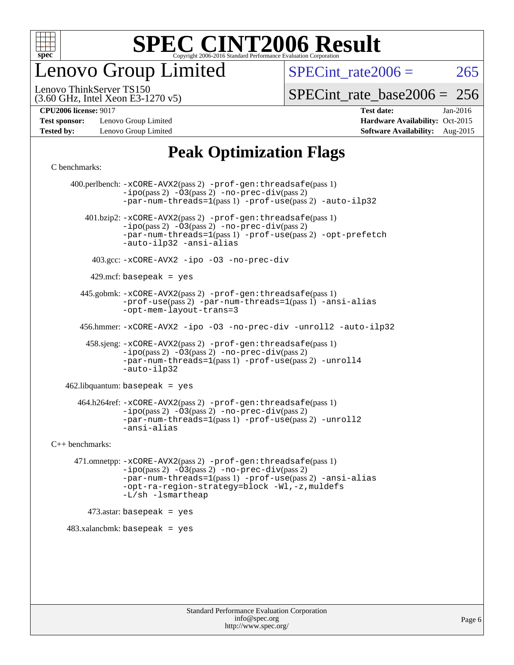

enovo Group Limited

SPECint rate $2006 = 265$ 

(3.60 GHz, Intel Xeon E3-1270 v5) Lenovo ThinkServer TS150

[SPECint\\_rate\\_base2006 =](http://www.spec.org/auto/cpu2006/Docs/result-fields.html#SPECintratebase2006) 256

**[Test sponsor:](http://www.spec.org/auto/cpu2006/Docs/result-fields.html#Testsponsor)** Lenovo Group Limited **[Hardware Availability:](http://www.spec.org/auto/cpu2006/Docs/result-fields.html#HardwareAvailability)** Oct-2015

**[CPU2006 license:](http://www.spec.org/auto/cpu2006/Docs/result-fields.html#CPU2006license)** 9017 **[Test date:](http://www.spec.org/auto/cpu2006/Docs/result-fields.html#Testdate)** Jan-2016 **[Tested by:](http://www.spec.org/auto/cpu2006/Docs/result-fields.html#Testedby)** Lenovo Group Limited **[Software Availability:](http://www.spec.org/auto/cpu2006/Docs/result-fields.html#SoftwareAvailability)** Aug-2015

### **[Peak Optimization Flags](http://www.spec.org/auto/cpu2006/Docs/result-fields.html#PeakOptimizationFlags)**

[C benchmarks](http://www.spec.org/auto/cpu2006/Docs/result-fields.html#Cbenchmarks):

 400.perlbench: [-xCORE-AVX2](http://www.spec.org/cpu2006/results/res2016q1/cpu2006-20160125-38848.flags.html#user_peakPASS2_CFLAGSPASS2_LDCFLAGS400_perlbench_f-xAVX2_5f5fc0cbe2c9f62c816d3e45806c70d7)(pass 2) [-prof-gen:threadsafe](http://www.spec.org/cpu2006/results/res2016q1/cpu2006-20160125-38848.flags.html#user_peakPASS1_CFLAGSPASS1_LDCFLAGS400_perlbench_prof_gen_21a26eb79f378b550acd7bec9fe4467a)(pass 1)  $-i\text{po}(pass 2) -\overline{03}(pass 2)$  [-no-prec-div](http://www.spec.org/cpu2006/results/res2016q1/cpu2006-20160125-38848.flags.html#user_peakPASS2_CFLAGSPASS2_LDCFLAGS400_perlbench_f-no-prec-div)(pass 2) [-par-num-threads=1](http://www.spec.org/cpu2006/results/res2016q1/cpu2006-20160125-38848.flags.html#user_peakPASS1_CFLAGSPASS1_LDCFLAGS400_perlbench_par_num_threads_786a6ff141b4e9e90432e998842df6c2)(pass 1) [-prof-use](http://www.spec.org/cpu2006/results/res2016q1/cpu2006-20160125-38848.flags.html#user_peakPASS2_CFLAGSPASS2_LDCFLAGS400_perlbench_prof_use_bccf7792157ff70d64e32fe3e1250b55)(pass 2) [-auto-ilp32](http://www.spec.org/cpu2006/results/res2016q1/cpu2006-20160125-38848.flags.html#user_peakCOPTIMIZE400_perlbench_f-auto-ilp32) 401.bzip2: [-xCORE-AVX2](http://www.spec.org/cpu2006/results/res2016q1/cpu2006-20160125-38848.flags.html#user_peakPASS2_CFLAGSPASS2_LDCFLAGS401_bzip2_f-xAVX2_5f5fc0cbe2c9f62c816d3e45806c70d7)(pass 2) [-prof-gen:threadsafe](http://www.spec.org/cpu2006/results/res2016q1/cpu2006-20160125-38848.flags.html#user_peakPASS1_CFLAGSPASS1_LDCFLAGS401_bzip2_prof_gen_21a26eb79f378b550acd7bec9fe4467a)(pass 1)  $-ipo(pass 2) -\overline{O}3(pass 2)$  $-ipo(pass 2) -\overline{O}3(pass 2)$  [-no-prec-div](http://www.spec.org/cpu2006/results/res2016q1/cpu2006-20160125-38848.flags.html#user_peakPASS2_CFLAGSPASS2_LDCFLAGS401_bzip2_f-no-prec-div)(pass 2) [-par-num-threads=1](http://www.spec.org/cpu2006/results/res2016q1/cpu2006-20160125-38848.flags.html#user_peakPASS1_CFLAGSPASS1_LDCFLAGS401_bzip2_par_num_threads_786a6ff141b4e9e90432e998842df6c2)(pass 1) [-prof-use](http://www.spec.org/cpu2006/results/res2016q1/cpu2006-20160125-38848.flags.html#user_peakPASS2_CFLAGSPASS2_LDCFLAGS401_bzip2_prof_use_bccf7792157ff70d64e32fe3e1250b55)(pass 2) [-opt-prefetch](http://www.spec.org/cpu2006/results/res2016q1/cpu2006-20160125-38848.flags.html#user_peakCOPTIMIZE401_bzip2_f-opt-prefetch) [-auto-ilp32](http://www.spec.org/cpu2006/results/res2016q1/cpu2006-20160125-38848.flags.html#user_peakCOPTIMIZE401_bzip2_f-auto-ilp32) [-ansi-alias](http://www.spec.org/cpu2006/results/res2016q1/cpu2006-20160125-38848.flags.html#user_peakCOPTIMIZE401_bzip2_f-ansi-alias) 403.gcc: [-xCORE-AVX2](http://www.spec.org/cpu2006/results/res2016q1/cpu2006-20160125-38848.flags.html#user_peakCOPTIMIZE403_gcc_f-xAVX2_5f5fc0cbe2c9f62c816d3e45806c70d7) [-ipo](http://www.spec.org/cpu2006/results/res2016q1/cpu2006-20160125-38848.flags.html#user_peakCOPTIMIZE403_gcc_f-ipo) [-O3](http://www.spec.org/cpu2006/results/res2016q1/cpu2006-20160125-38848.flags.html#user_peakCOPTIMIZE403_gcc_f-O3) [-no-prec-div](http://www.spec.org/cpu2006/results/res2016q1/cpu2006-20160125-38848.flags.html#user_peakCOPTIMIZE403_gcc_f-no-prec-div)  $429$ .mcf: basepeak = yes 445.gobmk: [-xCORE-AVX2](http://www.spec.org/cpu2006/results/res2016q1/cpu2006-20160125-38848.flags.html#user_peakPASS2_CFLAGSPASS2_LDCFLAGS445_gobmk_f-xAVX2_5f5fc0cbe2c9f62c816d3e45806c70d7)(pass 2) [-prof-gen:threadsafe](http://www.spec.org/cpu2006/results/res2016q1/cpu2006-20160125-38848.flags.html#user_peakPASS1_CFLAGSPASS1_LDCFLAGS445_gobmk_prof_gen_21a26eb79f378b550acd7bec9fe4467a)(pass 1) [-prof-use](http://www.spec.org/cpu2006/results/res2016q1/cpu2006-20160125-38848.flags.html#user_peakPASS2_CFLAGSPASS2_LDCFLAGS445_gobmk_prof_use_bccf7792157ff70d64e32fe3e1250b55)(pass 2) [-par-num-threads=1](http://www.spec.org/cpu2006/results/res2016q1/cpu2006-20160125-38848.flags.html#user_peakPASS1_CFLAGSPASS1_LDCFLAGS445_gobmk_par_num_threads_786a6ff141b4e9e90432e998842df6c2)(pass 1) [-ansi-alias](http://www.spec.org/cpu2006/results/res2016q1/cpu2006-20160125-38848.flags.html#user_peakCOPTIMIZE445_gobmk_f-ansi-alias) [-opt-mem-layout-trans=3](http://www.spec.org/cpu2006/results/res2016q1/cpu2006-20160125-38848.flags.html#user_peakCOPTIMIZE445_gobmk_f-opt-mem-layout-trans_a7b82ad4bd7abf52556d4961a2ae94d5) 456.hmmer: [-xCORE-AVX2](http://www.spec.org/cpu2006/results/res2016q1/cpu2006-20160125-38848.flags.html#user_peakCOPTIMIZE456_hmmer_f-xAVX2_5f5fc0cbe2c9f62c816d3e45806c70d7) [-ipo](http://www.spec.org/cpu2006/results/res2016q1/cpu2006-20160125-38848.flags.html#user_peakCOPTIMIZE456_hmmer_f-ipo) [-O3](http://www.spec.org/cpu2006/results/res2016q1/cpu2006-20160125-38848.flags.html#user_peakCOPTIMIZE456_hmmer_f-O3) [-no-prec-div](http://www.spec.org/cpu2006/results/res2016q1/cpu2006-20160125-38848.flags.html#user_peakCOPTIMIZE456_hmmer_f-no-prec-div) [-unroll2](http://www.spec.org/cpu2006/results/res2016q1/cpu2006-20160125-38848.flags.html#user_peakCOPTIMIZE456_hmmer_f-unroll_784dae83bebfb236979b41d2422d7ec2) [-auto-ilp32](http://www.spec.org/cpu2006/results/res2016q1/cpu2006-20160125-38848.flags.html#user_peakCOPTIMIZE456_hmmer_f-auto-ilp32) 458.sjeng: [-xCORE-AVX2](http://www.spec.org/cpu2006/results/res2016q1/cpu2006-20160125-38848.flags.html#user_peakPASS2_CFLAGSPASS2_LDCFLAGS458_sjeng_f-xAVX2_5f5fc0cbe2c9f62c816d3e45806c70d7)(pass 2) [-prof-gen:threadsafe](http://www.spec.org/cpu2006/results/res2016q1/cpu2006-20160125-38848.flags.html#user_peakPASS1_CFLAGSPASS1_LDCFLAGS458_sjeng_prof_gen_21a26eb79f378b550acd7bec9fe4467a)(pass 1)  $-i\text{po}(pass 2) -03(pass 2) -no-prec-div(pass 2)$  $-i\text{po}(pass 2) -03(pass 2) -no-prec-div(pass 2)$  $-i\text{po}(pass 2) -03(pass 2) -no-prec-div(pass 2)$ [-par-num-threads=1](http://www.spec.org/cpu2006/results/res2016q1/cpu2006-20160125-38848.flags.html#user_peakPASS1_CFLAGSPASS1_LDCFLAGS458_sjeng_par_num_threads_786a6ff141b4e9e90432e998842df6c2)(pass 1) [-prof-use](http://www.spec.org/cpu2006/results/res2016q1/cpu2006-20160125-38848.flags.html#user_peakPASS2_CFLAGSPASS2_LDCFLAGS458_sjeng_prof_use_bccf7792157ff70d64e32fe3e1250b55)(pass 2) [-unroll4](http://www.spec.org/cpu2006/results/res2016q1/cpu2006-20160125-38848.flags.html#user_peakCOPTIMIZE458_sjeng_f-unroll_4e5e4ed65b7fd20bdcd365bec371b81f) [-auto-ilp32](http://www.spec.org/cpu2006/results/res2016q1/cpu2006-20160125-38848.flags.html#user_peakCOPTIMIZE458_sjeng_f-auto-ilp32) 462.libquantum: basepeak = yes 464.h264ref: [-xCORE-AVX2](http://www.spec.org/cpu2006/results/res2016q1/cpu2006-20160125-38848.flags.html#user_peakPASS2_CFLAGSPASS2_LDCFLAGS464_h264ref_f-xAVX2_5f5fc0cbe2c9f62c816d3e45806c70d7)(pass 2) [-prof-gen:threadsafe](http://www.spec.org/cpu2006/results/res2016q1/cpu2006-20160125-38848.flags.html#user_peakPASS1_CFLAGSPASS1_LDCFLAGS464_h264ref_prof_gen_21a26eb79f378b550acd7bec9fe4467a)(pass 1) [-ipo](http://www.spec.org/cpu2006/results/res2016q1/cpu2006-20160125-38848.flags.html#user_peakPASS2_CFLAGSPASS2_LDCFLAGS464_h264ref_f-ipo)(pass 2) [-O3](http://www.spec.org/cpu2006/results/res2016q1/cpu2006-20160125-38848.flags.html#user_peakPASS2_CFLAGSPASS2_LDCFLAGS464_h264ref_f-O3)(pass 2) [-no-prec-div](http://www.spec.org/cpu2006/results/res2016q1/cpu2006-20160125-38848.flags.html#user_peakPASS2_CFLAGSPASS2_LDCFLAGS464_h264ref_f-no-prec-div)(pass 2) [-par-num-threads=1](http://www.spec.org/cpu2006/results/res2016q1/cpu2006-20160125-38848.flags.html#user_peakPASS1_CFLAGSPASS1_LDCFLAGS464_h264ref_par_num_threads_786a6ff141b4e9e90432e998842df6c2)(pass 1) [-prof-use](http://www.spec.org/cpu2006/results/res2016q1/cpu2006-20160125-38848.flags.html#user_peakPASS2_CFLAGSPASS2_LDCFLAGS464_h264ref_prof_use_bccf7792157ff70d64e32fe3e1250b55)(pass 2) [-unroll2](http://www.spec.org/cpu2006/results/res2016q1/cpu2006-20160125-38848.flags.html#user_peakCOPTIMIZE464_h264ref_f-unroll_784dae83bebfb236979b41d2422d7ec2) [-ansi-alias](http://www.spec.org/cpu2006/results/res2016q1/cpu2006-20160125-38848.flags.html#user_peakCOPTIMIZE464_h264ref_f-ansi-alias) [C++ benchmarks:](http://www.spec.org/auto/cpu2006/Docs/result-fields.html#CXXbenchmarks) 471.omnetpp: [-xCORE-AVX2](http://www.spec.org/cpu2006/results/res2016q1/cpu2006-20160125-38848.flags.html#user_peakPASS2_CXXFLAGSPASS2_LDCXXFLAGS471_omnetpp_f-xAVX2_5f5fc0cbe2c9f62c816d3e45806c70d7)(pass 2) [-prof-gen:threadsafe](http://www.spec.org/cpu2006/results/res2016q1/cpu2006-20160125-38848.flags.html#user_peakPASS1_CXXFLAGSPASS1_LDCXXFLAGS471_omnetpp_prof_gen_21a26eb79f378b550acd7bec9fe4467a)(pass 1) [-ipo](http://www.spec.org/cpu2006/results/res2016q1/cpu2006-20160125-38848.flags.html#user_peakPASS2_CXXFLAGSPASS2_LDCXXFLAGS471_omnetpp_f-ipo)(pass 2) [-O3](http://www.spec.org/cpu2006/results/res2016q1/cpu2006-20160125-38848.flags.html#user_peakPASS2_CXXFLAGSPASS2_LDCXXFLAGS471_omnetpp_f-O3)(pass 2) [-no-prec-div](http://www.spec.org/cpu2006/results/res2016q1/cpu2006-20160125-38848.flags.html#user_peakPASS2_CXXFLAGSPASS2_LDCXXFLAGS471_omnetpp_f-no-prec-div)(pass 2) [-par-num-threads=1](http://www.spec.org/cpu2006/results/res2016q1/cpu2006-20160125-38848.flags.html#user_peakPASS1_CXXFLAGSPASS1_LDCXXFLAGS471_omnetpp_par_num_threads_786a6ff141b4e9e90432e998842df6c2)(pass 1) [-prof-use](http://www.spec.org/cpu2006/results/res2016q1/cpu2006-20160125-38848.flags.html#user_peakPASS2_CXXFLAGSPASS2_LDCXXFLAGS471_omnetpp_prof_use_bccf7792157ff70d64e32fe3e1250b55)(pass 2) [-ansi-alias](http://www.spec.org/cpu2006/results/res2016q1/cpu2006-20160125-38848.flags.html#user_peakCXXOPTIMIZE471_omnetpp_f-ansi-alias) [-opt-ra-region-strategy=block](http://www.spec.org/cpu2006/results/res2016q1/cpu2006-20160125-38848.flags.html#user_peakCXXOPTIMIZE471_omnetpp_f-opt-ra-region-strategy_a0a37c372d03933b2a18d4af463c1f69) [-Wl,-z,muldefs](http://www.spec.org/cpu2006/results/res2016q1/cpu2006-20160125-38848.flags.html#user_peakEXTRA_LDFLAGS471_omnetpp_link_force_multiple1_74079c344b956b9658436fd1b6dd3a8a) [-L/sh -lsmartheap](http://www.spec.org/cpu2006/results/res2016q1/cpu2006-20160125-38848.flags.html#user_peakEXTRA_LIBS471_omnetpp_SmartHeap_32f6c82aa1ed9c52345d30cf6e4a0499)  $473$ .astar: basepeak = yes 483.xalancbmk: basepeak = yes